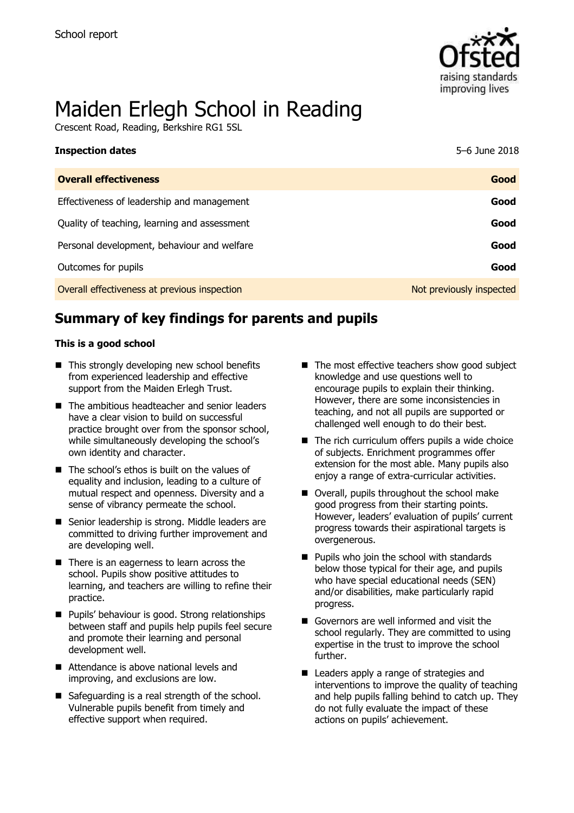

# Maiden Erlegh School in Reading

Crescent Road, Reading, Berkshire RG1 5SL

| <b>Inspection dates</b>                      | 5-6 June 2018            |
|----------------------------------------------|--------------------------|
| <b>Overall effectiveness</b>                 | Good                     |
| Effectiveness of leadership and management   | Good                     |
| Quality of teaching, learning and assessment | Good                     |
| Personal development, behaviour and welfare  | Good                     |
| Outcomes for pupils                          | Good                     |
| Overall effectiveness at previous inspection | Not previously inspected |

# **Summary of key findings for parents and pupils**

### **This is a good school**

- This strongly developing new school benefits from experienced leadership and effective support from the Maiden Erlegh Trust.
- The ambitious headteacher and senior leaders have a clear vision to build on successful practice brought over from the sponsor school, while simultaneously developing the school's own identity and character.
- The school's ethos is built on the values of equality and inclusion, leading to a culture of mutual respect and openness. Diversity and a sense of vibrancy permeate the school.
- Senior leadership is strong. Middle leaders are committed to driving further improvement and are developing well.
- There is an eagerness to learn across the school. Pupils show positive attitudes to learning, and teachers are willing to refine their practice.
- **Pupils' behaviour is good. Strong relationships** between staff and pupils help pupils feel secure and promote their learning and personal development well.
- Attendance is above national levels and improving, and exclusions are low.
- Safeguarding is a real strength of the school. Vulnerable pupils benefit from timely and effective support when required.
- The most effective teachers show good subject knowledge and use questions well to encourage pupils to explain their thinking. However, there are some inconsistencies in teaching, and not all pupils are supported or challenged well enough to do their best.
- $\blacksquare$  The rich curriculum offers pupils a wide choice of subjects. Enrichment programmes offer extension for the most able. Many pupils also enjoy a range of extra-curricular activities.
- Overall, pupils throughout the school make good progress from their starting points. However, leaders' evaluation of pupils' current progress towards their aspirational targets is overgenerous.
- **Pupils who join the school with standards** below those typical for their age, and pupils who have special educational needs (SEN) and/or disabilities, make particularly rapid progress.
- Governors are well informed and visit the school regularly. They are committed to using expertise in the trust to improve the school further.
- Leaders apply a range of strategies and interventions to improve the quality of teaching and help pupils falling behind to catch up. They do not fully evaluate the impact of these actions on pupils' achievement.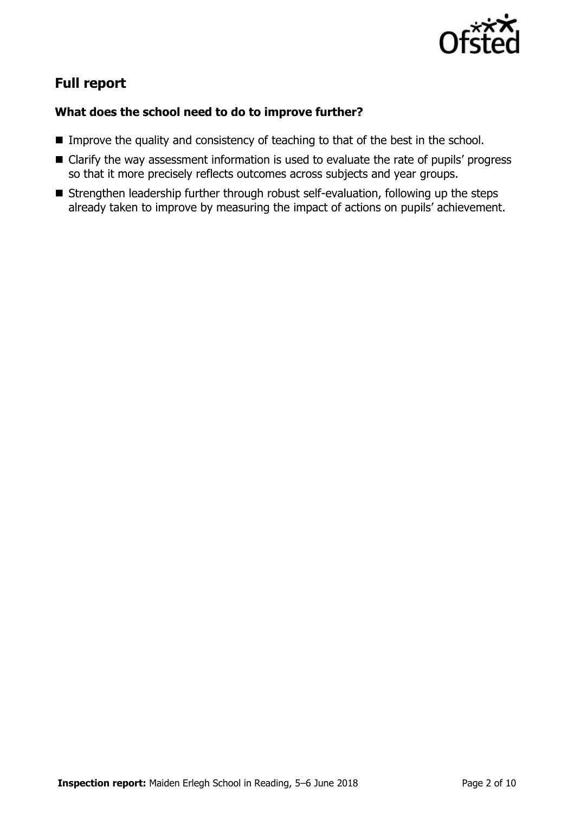

# **Full report**

### **What does the school need to do to improve further?**

- Improve the quality and consistency of teaching to that of the best in the school.
- Clarify the way assessment information is used to evaluate the rate of pupils' progress so that it more precisely reflects outcomes across subjects and year groups.
- **Strengthen leadership further through robust self-evaluation, following up the steps** already taken to improve by measuring the impact of actions on pupils' achievement.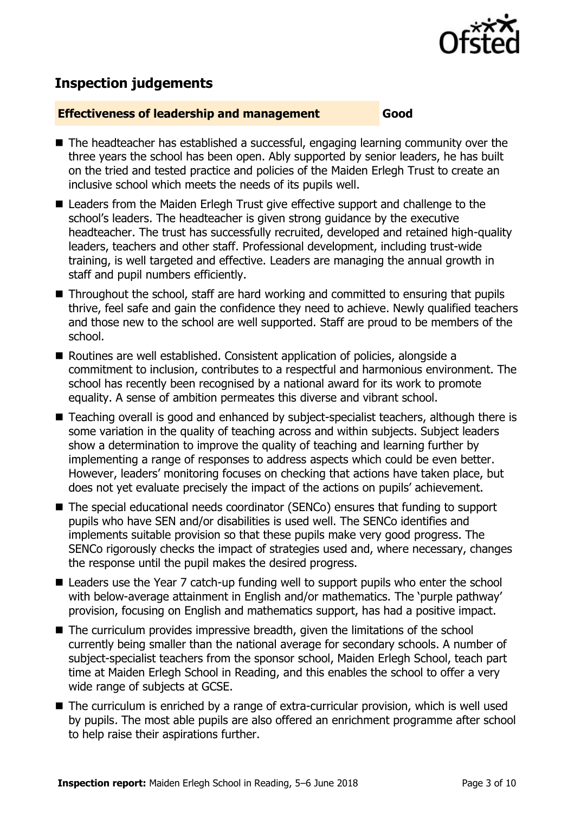

# **Inspection judgements**

### **Effectiveness of leadership and management Good**

- The headteacher has established a successful, engaging learning community over the three years the school has been open. Ably supported by senior leaders, he has built on the tried and tested practice and policies of the Maiden Erlegh Trust to create an inclusive school which meets the needs of its pupils well.
- Leaders from the Maiden Erlegh Trust give effective support and challenge to the school's leaders. The headteacher is given strong guidance by the executive headteacher. The trust has successfully recruited, developed and retained high-quality leaders, teachers and other staff. Professional development, including trust-wide training, is well targeted and effective. Leaders are managing the annual growth in staff and pupil numbers efficiently.
- Throughout the school, staff are hard working and committed to ensuring that pupils thrive, feel safe and gain the confidence they need to achieve. Newly qualified teachers and those new to the school are well supported. Staff are proud to be members of the school.
- Routines are well established. Consistent application of policies, alongside a commitment to inclusion, contributes to a respectful and harmonious environment. The school has recently been recognised by a national award for its work to promote equality. A sense of ambition permeates this diverse and vibrant school.
- Teaching overall is good and enhanced by subject-specialist teachers, although there is some variation in the quality of teaching across and within subjects. Subject leaders show a determination to improve the quality of teaching and learning further by implementing a range of responses to address aspects which could be even better. However, leaders' monitoring focuses on checking that actions have taken place, but does not yet evaluate precisely the impact of the actions on pupils' achievement.
- The special educational needs coordinator (SENCo) ensures that funding to support pupils who have SEN and/or disabilities is used well. The SENCo identifies and implements suitable provision so that these pupils make very good progress. The SENCo rigorously checks the impact of strategies used and, where necessary, changes the response until the pupil makes the desired progress.
- Leaders use the Year 7 catch-up funding well to support pupils who enter the school with below-average attainment in English and/or mathematics. The 'purple pathway' provision, focusing on English and mathematics support, has had a positive impact.
- $\blacksquare$  The curriculum provides impressive breadth, given the limitations of the school currently being smaller than the national average for secondary schools. A number of subject-specialist teachers from the sponsor school, Maiden Erlegh School, teach part time at Maiden Erlegh School in Reading, and this enables the school to offer a very wide range of subjects at GCSE.
- The curriculum is enriched by a range of extra-curricular provision, which is well used by pupils. The most able pupils are also offered an enrichment programme after school to help raise their aspirations further.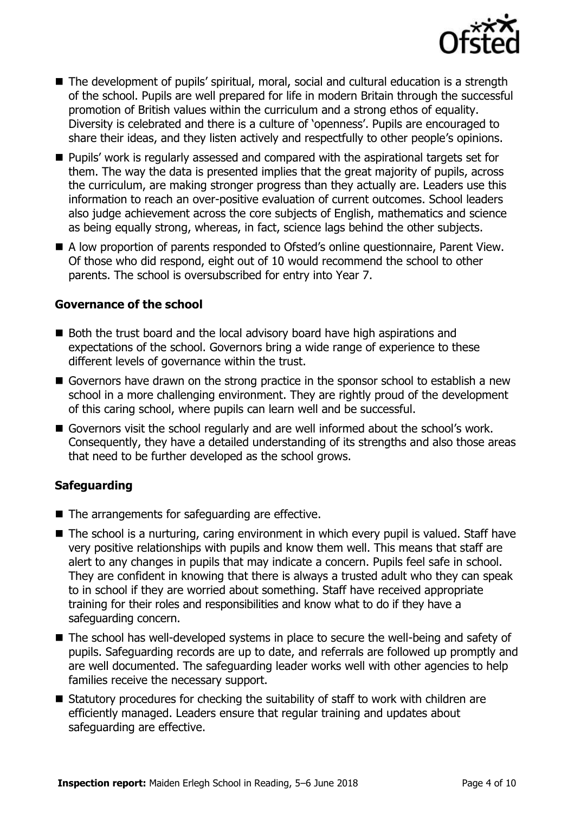

- The development of pupils' spiritual, moral, social and cultural education is a strength of the school. Pupils are well prepared for life in modern Britain through the successful promotion of British values within the curriculum and a strong ethos of equality. Diversity is celebrated and there is a culture of 'openness'. Pupils are encouraged to share their ideas, and they listen actively and respectfully to other people's opinions.
- **Pupils' work is regularly assessed and compared with the aspirational targets set for** them. The way the data is presented implies that the great majority of pupils, across the curriculum, are making stronger progress than they actually are. Leaders use this information to reach an over-positive evaluation of current outcomes. School leaders also judge achievement across the core subjects of English, mathematics and science as being equally strong, whereas, in fact, science lags behind the other subjects.
- A low proportion of parents responded to Ofsted's online questionnaire, Parent View. Of those who did respond, eight out of 10 would recommend the school to other parents. The school is oversubscribed for entry into Year 7.

### **Governance of the school**

- Both the trust board and the local advisory board have high aspirations and expectations of the school. Governors bring a wide range of experience to these different levels of governance within the trust.
- Governors have drawn on the strong practice in the sponsor school to establish a new school in a more challenging environment. They are rightly proud of the development of this caring school, where pupils can learn well and be successful.
- Governors visit the school regularly and are well informed about the school's work. Consequently, they have a detailed understanding of its strengths and also those areas that need to be further developed as the school grows.

### **Safeguarding**

- $\blacksquare$  The arrangements for safeguarding are effective.
- The school is a nurturing, caring environment in which every pupil is valued. Staff have very positive relationships with pupils and know them well. This means that staff are alert to any changes in pupils that may indicate a concern. Pupils feel safe in school. They are confident in knowing that there is always a trusted adult who they can speak to in school if they are worried about something. Staff have received appropriate training for their roles and responsibilities and know what to do if they have a safeguarding concern.
- The school has well-developed systems in place to secure the well-being and safety of pupils. Safeguarding records are up to date, and referrals are followed up promptly and are well documented. The safeguarding leader works well with other agencies to help families receive the necessary support.
- Statutory procedures for checking the suitability of staff to work with children are efficiently managed. Leaders ensure that regular training and updates about safeguarding are effective.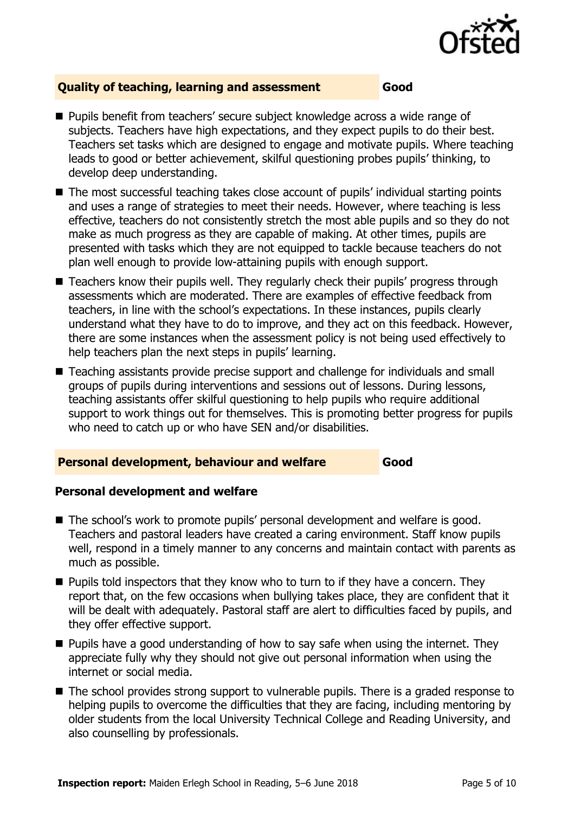

### **Quality of teaching, learning and assessment Good**

- Pupils benefit from teachers' secure subject knowledge across a wide range of subjects. Teachers have high expectations, and they expect pupils to do their best. Teachers set tasks which are designed to engage and motivate pupils. Where teaching leads to good or better achievement, skilful questioning probes pupils' thinking, to develop deep understanding.
- The most successful teaching takes close account of pupils' individual starting points and uses a range of strategies to meet their needs. However, where teaching is less effective, teachers do not consistently stretch the most able pupils and so they do not make as much progress as they are capable of making. At other times, pupils are presented with tasks which they are not equipped to tackle because teachers do not plan well enough to provide low-attaining pupils with enough support.
- Teachers know their pupils well. They regularly check their pupils' progress through assessments which are moderated. There are examples of effective feedback from teachers, in line with the school's expectations. In these instances, pupils clearly understand what they have to do to improve, and they act on this feedback. However, there are some instances when the assessment policy is not being used effectively to help teachers plan the next steps in pupils' learning.
- Teaching assistants provide precise support and challenge for individuals and small groups of pupils during interventions and sessions out of lessons. During lessons, teaching assistants offer skilful questioning to help pupils who require additional support to work things out for themselves. This is promoting better progress for pupils who need to catch up or who have SEN and/or disabilities.

### **Personal development, behaviour and welfare Good**

### **Personal development and welfare**

- The school's work to promote pupils' personal development and welfare is good. Teachers and pastoral leaders have created a caring environment. Staff know pupils well, respond in a timely manner to any concerns and maintain contact with parents as much as possible.
- $\blacksquare$  Pupils told inspectors that they know who to turn to if they have a concern. They report that, on the few occasions when bullying takes place, they are confident that it will be dealt with adequately. Pastoral staff are alert to difficulties faced by pupils, and they offer effective support.
- $\blacksquare$  Pupils have a good understanding of how to say safe when using the internet. They appreciate fully why they should not give out personal information when using the internet or social media.
- The school provides strong support to vulnerable pupils. There is a graded response to helping pupils to overcome the difficulties that they are facing, including mentoring by older students from the local University Technical College and Reading University, and also counselling by professionals.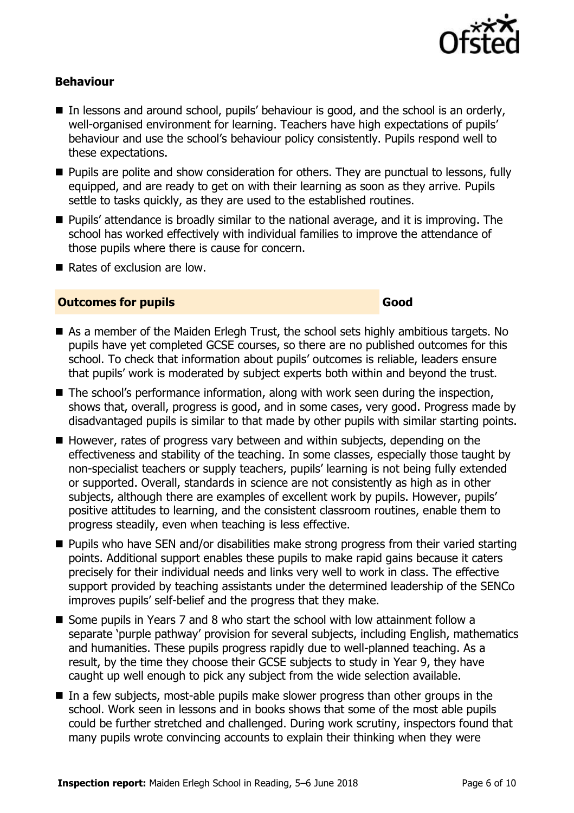

### **Behaviour**

- In lessons and around school, pupils' behaviour is good, and the school is an orderly, well-organised environment for learning. Teachers have high expectations of pupils' behaviour and use the school's behaviour policy consistently. Pupils respond well to these expectations.
- **Pupils are polite and show consideration for others. They are punctual to lessons, fully** equipped, and are ready to get on with their learning as soon as they arrive. Pupils settle to tasks quickly, as they are used to the established routines.
- **Pupils'** attendance is broadly similar to the national average, and it is improving. The school has worked effectively with individual families to improve the attendance of those pupils where there is cause for concern.
- Rates of exclusion are low.

### **Outcomes for pupils Good**

- As a member of the Maiden Erlegh Trust, the school sets highly ambitious targets. No pupils have yet completed GCSE courses, so there are no published outcomes for this school. To check that information about pupils' outcomes is reliable, leaders ensure that pupils' work is moderated by subject experts both within and beyond the trust.
- The school's performance information, along with work seen during the inspection, shows that, overall, progress is good, and in some cases, very good. Progress made by disadvantaged pupils is similar to that made by other pupils with similar starting points.
- However, rates of progress vary between and within subjects, depending on the effectiveness and stability of the teaching. In some classes, especially those taught by non-specialist teachers or supply teachers, pupils' learning is not being fully extended or supported. Overall, standards in science are not consistently as high as in other subjects, although there are examples of excellent work by pupils. However, pupils' positive attitudes to learning, and the consistent classroom routines, enable them to progress steadily, even when teaching is less effective.
- Pupils who have SEN and/or disabilities make strong progress from their varied starting points. Additional support enables these pupils to make rapid gains because it caters precisely for their individual needs and links very well to work in class. The effective support provided by teaching assistants under the determined leadership of the SENCo improves pupils' self-belief and the progress that they make.
- Some pupils in Years 7 and 8 who start the school with low attainment follow a separate 'purple pathway' provision for several subjects, including English, mathematics and humanities. These pupils progress rapidly due to well-planned teaching. As a result, by the time they choose their GCSE subjects to study in Year 9, they have caught up well enough to pick any subject from the wide selection available.
- In a few subjects, most-able pupils make slower progress than other groups in the school. Work seen in lessons and in books shows that some of the most able pupils could be further stretched and challenged. During work scrutiny, inspectors found that many pupils wrote convincing accounts to explain their thinking when they were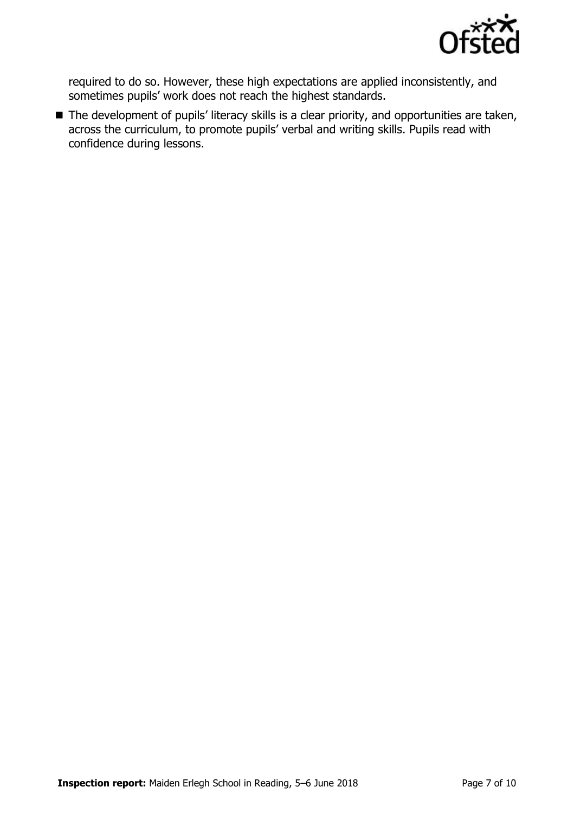

required to do so. However, these high expectations are applied inconsistently, and sometimes pupils' work does not reach the highest standards.

■ The development of pupils' literacy skills is a clear priority, and opportunities are taken, across the curriculum, to promote pupils' verbal and writing skills. Pupils read with confidence during lessons.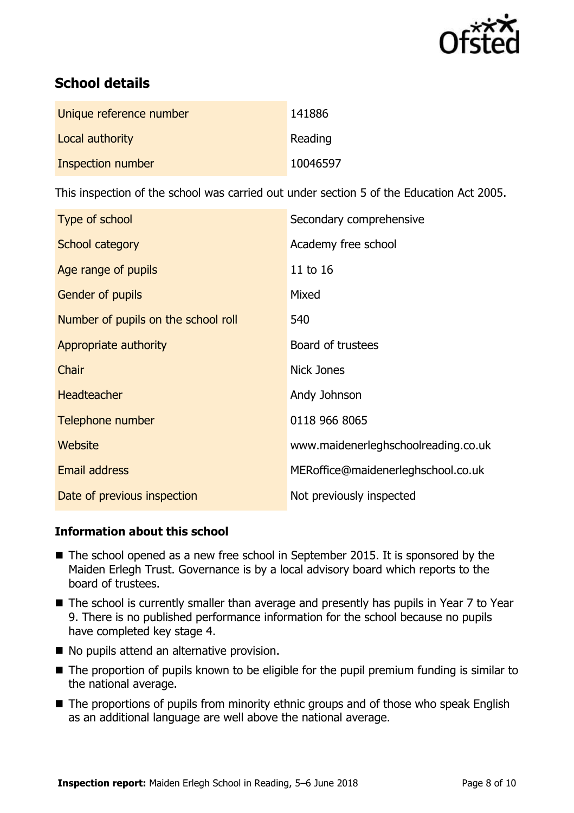

# **School details**

| Unique reference number | 141886   |
|-------------------------|----------|
| Local authority         | Reading  |
| Inspection number       | 10046597 |

This inspection of the school was carried out under section 5 of the Education Act 2005.

| Type of school                      | Secondary comprehensive             |
|-------------------------------------|-------------------------------------|
| School category                     | Academy free school                 |
| Age range of pupils                 | 11 to 16                            |
| Gender of pupils                    | Mixed                               |
| Number of pupils on the school roll | 540                                 |
| Appropriate authority               | Board of trustees                   |
| Chair                               | <b>Nick Jones</b>                   |
| <b>Headteacher</b>                  | Andy Johnson                        |
| Telephone number                    | 0118 966 8065                       |
| <b>Website</b>                      | www.maidenerleghschoolreading.co.uk |
| <b>Email address</b>                | MERoffice@maidenerleghschool.co.uk  |
| Date of previous inspection         | Not previously inspected            |

### **Information about this school**

- The school opened as a new free school in September 2015. It is sponsored by the Maiden Erlegh Trust. Governance is by a local advisory board which reports to the board of trustees.
- The school is currently smaller than average and presently has pupils in Year 7 to Year 9. There is no published performance information for the school because no pupils have completed key stage 4.
- No pupils attend an alternative provision.
- The proportion of pupils known to be eligible for the pupil premium funding is similar to the national average.
- The proportions of pupils from minority ethnic groups and of those who speak English as an additional language are well above the national average.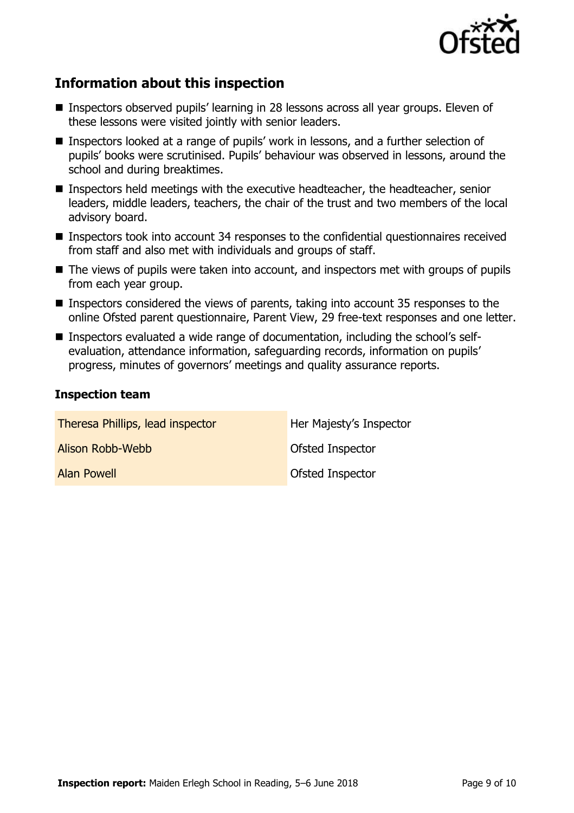

# **Information about this inspection**

- Inspectors observed pupils' learning in 28 lessons across all year groups. Eleven of these lessons were visited jointly with senior leaders.
- Inspectors looked at a range of pupils' work in lessons, and a further selection of pupils' books were scrutinised. Pupils' behaviour was observed in lessons, around the school and during breaktimes.
- Inspectors held meetings with the executive headteacher, the headteacher, senior leaders, middle leaders, teachers, the chair of the trust and two members of the local advisory board.
- **Inspectors took into account 34 responses to the confidential questionnaires received** from staff and also met with individuals and groups of staff.
- The views of pupils were taken into account, and inspectors met with groups of pupils from each year group.
- Inspectors considered the views of parents, taking into account 35 responses to the online Ofsted parent questionnaire, Parent View, 29 free-text responses and one letter.
- Inspectors evaluated a wide range of documentation, including the school's selfevaluation, attendance information, safeguarding records, information on pupils' progress, minutes of governors' meetings and quality assurance reports.

### **Inspection team**

| Theresa Phillips, lead inspector | Her Majesty's Inspector |
|----------------------------------|-------------------------|
| Alison Robb-Webb                 | <b>Ofsted Inspector</b> |
| Alan Powell                      | <b>Ofsted Inspector</b> |